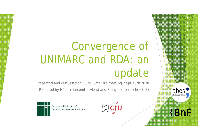# Convergence of UNIMARC and RDA: an update

Presented and discussed at EURIG Satellite Meeting, Sept 15th 2020 Prepared by Héloïse Lecomte (Abes) and Françoise Leresche (BnF)



International Federation of Library Associations and Institutions



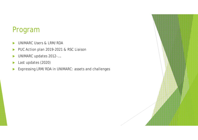## Program

- UNIMARC Users & LRM/RDA
- PUC Action plan 2019-2021 & RSC Liaison
- ▶ UNIMARC updates 2012-....
- Last updates (2020)
- Expressing LRM/RDA in UNIMARC: assets and challenges

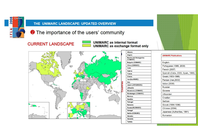

### THE UNIMARC LANDSCAPE: UPDATED OVERVIEW

<sup>2</sup> The importance of the users' community

## **CURRENT LANDSCAPE**

**UNIMARC** as internal format **UNIMARC** as exchange format only



| <b>Albania</b>                     |
|------------------------------------|
| Angola                             |
| Bosnia and Herzegovina<br>(COMARC) |
| <b>Bulgaria (COMARC)</b>           |
| China (CNMARC)                     |
| Cuba                               |
| <b>Cyprus</b>                      |
| <b>France</b>                      |
| Greece                             |
| Iran (IranMARC)                    |
| Italy                              |
| Japan (JAPANMARC)                  |
| Lithuania                          |
| Macedonia (COMARC)                 |
| Montenegro (COMARC)                |
| <b>Morroco</b>                     |
| Namibia                            |
| Portugal                           |
| Romenia                            |
| Russia (RUSMARC)                   |
| Senegal                            |
| Serbia (COMARC)                    |
| Slovakia                           |
| Slovenia                           |
| <b>Tunisia</b>                     |
|                                    |

|            | <b>UNIMARC Publications</b>       |
|------------|-----------------------------------|
|            |                                   |
| English    |                                   |
|            | Portuguese (1989, 2008)           |
|            | French (2007)                     |
|            | Spanish (Cuba, 2003, Spain, 1996) |
|            | Greek (1993-1996)                 |
|            | Persian (Iran, 2002)              |
|            | Italian (2000)                    |
| Russian    |                                   |
| Slovene    |                                   |
| Lithuanian |                                   |
| Croatian   |                                   |
| Serbian    |                                   |
|            | Slovak (1994-1996)                |
|            | Chinese (2004)                    |
|            | Japanese (Authorities, 1991)      |
| Romanian   |                                   |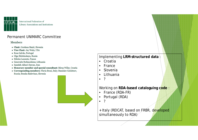

## Permanent UNIMARC Committee

### **Members**

- \* Chair: Gordana Mazić, Slovenia
- \* Vice Chair: Jay Weitz, USA
- \* Rosa Galvão, Portugal
- \* Olga Zhlobinskaya, Russia
- \* Héloïse Lecomte, France
- \* Genovaite Rutkauskiene, Lithuania
- \* Saeedeh Akbari-Daryan, Iran
- \* Honorary member and special consultant: Mirna Willer, Croatia
- \* Corresponding members: Flavia Bruni, Italy; Stanislaw Golubtsov, Russia; Branka Badovinac, Slovenia



## Implementing **LRM-structured data** :

- Croatia
- France
- Slovenia
- Lithuania
- ?

## Working on **RDA-based cataloguing code** :

- France (RDA-FR)
- Portugal (RDA)
- ?

+ Italy (REICAT, based on FRBR, developed simultaneously to RDA)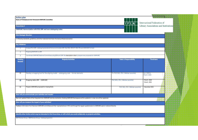| <b>Action plan</b><br>Name of Professional Unit: Permanent UNIMARC Committee<br>International Federation of<br>$I$ $F$ $L$ $A$                                       |                                                                                                                                                         |                                   |                                       |  |  |  |  |
|----------------------------------------------------------------------------------------------------------------------------------------------------------------------|---------------------------------------------------------------------------------------------------------------------------------------------------------|-----------------------------------|---------------------------------------|--|--|--|--|
| <b>Focus Area 2</b>                                                                                                                                                  |                                                                                                                                                         |                                   | Library Associations and Institutions |  |  |  |  |
|                                                                                                                                                                      | UNIMARC Harmonization with IFLA LRM and new cataloguing codes                                                                                           |                                   |                                       |  |  |  |  |
| <b>IFLA Strategic Direction</b>                                                                                                                                      |                                                                                                                                                         |                                   |                                       |  |  |  |  |
|                                                                                                                                                                      | 2.3 Develop standards, guidelines, and other materials that foster the best professional practice                                                       |                                   |                                       |  |  |  |  |
| <b>Key Initiatives</b>                                                                                                                                               |                                                                                                                                                         |                                   |                                       |  |  |  |  |
| $\mathcal{I}$                                                                                                                                                        | Analyze IFLA LRM, cataloguing standards that accommodate LRM (like RDA, REICAT, RDA-FR) and UNIMARC formats                                             |                                   |                                       |  |  |  |  |
| 2                                                                                                                                                                    | Mapping UNIMARC to LRM                                                                                                                                  |                                   |                                       |  |  |  |  |
| 3                                                                                                                                                                    | Coordinate UNIMARC National Committees using RDA and LRM like description rules to prepare new proposals for UNIMARC                                    |                                   |                                       |  |  |  |  |
| <b>Funding</b><br><b>Needed</b>                                                                                                                                      | <b>Projects/Activities</b>                                                                                                                              | <b>Tasks &amp; Responsibility</b> | <b>Timeframe</b>                      |  |  |  |  |
| □                                                                                                                                                                    | Develop a mapping tool for the aligning model - cataloguing code - format elements                                                                      | Te PUC WG, CfU (Héloïse Lecomte)  | Jan. 2020 to<br>March. 2020           |  |  |  |  |
| $\overline{\mathbf{z}}$                                                                                                                                              | Mapping table LRM - UNIMARC                                                                                                                             | PUC WG, CfU (Héloïse Lecomte)     | March. 2020<br>March. 2021            |  |  |  |  |
| ▫                                                                                                                                                                    | Prepare UNIMARC proposals for missing fields                                                                                                            | PUC WG, CfU (Héloïse Lecomte)     | December 2021                         |  |  |  |  |
|                                                                                                                                                                      | How will you communicate your activities and results?                                                                                                   |                                   |                                       |  |  |  |  |
|                                                                                                                                                                      | New and updated fields will be integrated into UNIMARC text documentation; Existing UNIMARC Namespaces will be updated or a new one will be registered. |                                   |                                       |  |  |  |  |
|                                                                                                                                                                      | How will you measure the impact of your activities?                                                                                                     |                                   |                                       |  |  |  |  |
| Feedback information from Nacional UNIMARC committees and their representatives in PUC and through the regular questionnaire to UNIMARC users in national libraries. |                                                                                                                                                         |                                   |                                       |  |  |  |  |
| Identify other Unit(s) which may be interested in this Focus Area, or with which you could collaborate on projects/activities.                                       |                                                                                                                                                         |                                   |                                       |  |  |  |  |
| BCM Review Group; ISBD Review Group; Cataloguing section.                                                                                                            |                                                                                                                                                         |                                   |                                       |  |  |  |  |

**WEIGHT AND RESIDENTS OF A STATE OF A STATE OF A STATE OF A STATE OF A STATE OF A STATE OF A STATE OF A**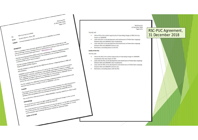## Duties of the RSC

### UNIMARE (Universal MARE format) is a format for the representation and communication UNIMANC (UNIVERSALMANC Tormat) is a tormat for the representation and communicatie<br>UNIMANC (UNIVERSALMANC Tormat) is a tormat for the representation in machine readable of bibliographic, authority, classification and holdings information in machine readable<br>of bibliographic, authority, classification and holdings information in machine (PUC) within the<br>form, originally created by IELA. Th Torm, offensily created by IFLA. The IFLA Permanent UNIMARC Committee (PUC) within the<br>Term, offensily created by IFLA. The IFLA Permanent UNIMARC format<br>IFLA UNIMARC Strategic Programme is responsible for maintenance. **BDA** elements. IF UN UTRIMARIE Strategic Programme is responsible for maintaining to<br>IF UN UTRIMARIE Strategic Programme is responsible for maintaining to The PUC updates the UNIMARC format following established policies and procedures, and the root upgates the Unimously formal following established point.<br>maintains and develops a number of VESs as UNIMARC code lists. The purpose of this protocol is to support communication between the editorial processes The purpose of this protocol is to support communication between the editorial prot-<br>of the RSC and the PUC in order to support functional and semantic interoperability of the RSC and the PUC in order to support functional and semantic interoperability<br>of the RSC and the PUC in order to support functional and semantic interval.<br>between data compatible with RDA and data compatible with the The result of the editorial processes is RDA/UNIMARC mappings added to the RDA Toolkit. The protocol is intended to be light-weight to avoid significant changes to the current The usual channel of communication between the two groups are the RSC consulting liaison-<br>The usual channel of communication between the per-uses are conservable for consulting practices, priorities, and workflows of the RSC and PUC. The usual channel of communication between the two groups are the risc consulting in<br>The usual channel of communication between the RSG, who are responsible for routine to the PUC and the PUC consulting salson to the RSC, who are responsible<br>to the PUC and the PUC consulting sach group's activity for potential issues.

"RDA is a package of data elements, guidelines, and instructions for creating library and -RDA IS a package of data elements, guidelines, and instructions for creating library and<br>-RDA IS a package of data elements, guidelines, and instructions for creating international models<br>cultural heritage resource also s Background The RDA Steering Committee (RSC) maintains and develops vocabulary encoding schemes cultural rientage resource metaoata that are well-romined actord<br>cultural rientage resource metaoata that are well-romined actord The RDA Steering committee (RSCI maintains and develops vocabulary encoung sche<br>(VES) for several RDA recorded elements. The vocabularies are amended following<br>(VES) for several RDA recorded elements. The RSC provides linked data versions of the RDA vocabularies in the Open Metadata LYESSE for Science in the Sand procedures. The RSC maintains, jointly with the IFLA ISBD Review Group, a mapping between ISBD and Registry (OMR) and RDA Registry.

# Subject: Protocol between the RSC and the Permanent UNIMARC Committee

- 
- **RDA Steering Committee**
- 

RSC/Chair/22 31 December 2018 Page 1 of 2

RSC/Chair/22 31 December 2018 Page 2 of 2

RSC-PUC Agreement,

31 December 2018

### The RSC will:

- $\ddot{\phantom{1}}$ inform PUC at the earliest opportunity of impending changes to RDA that may impact on UNIMARC.
- Liaise with PUC on the development and maintenance of linked data mappings between RDA and UNIMARC value vocabularies.
- Liaise with PUC on the development and maintenance of linked data mappings between RDA and UNIMARC element sets.

. Inform the RSC at the earliest opportunity of impending changes to UNIMARC.

Liaise with the RSC on the development and maintenance of linked data mappings.

Liaise with the RSC on the development and maintenance of linked data mappings

Nominate a consulting liaison to the PUC ×.

vocabularies that may impact on RDA

between RDA and UNIMARC value vocabularies.

between RDA and UNIMARC element sets.

Nominate a consulting liaison with the RSC.

- 
- 
- 
- 

The PUC will:

×.

### Duties of the PUC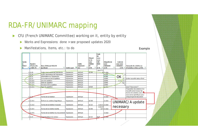## RDA-FR/UNIMARC mapping

▶ CfU (French UNIMARC Committee) working on it, entity by entity

- ▶ Works and Expressions: done > see proposed updates 2020
- Manifestations, Items, etc.: to do

Example

| <b>Sectio</b><br>n<br><b>RDA-F</b><br>l R | <b>Numéro</b><br>d'instructio<br>n RDA-FR | Nom d'élément RDA-FR<br>(prédicat)  | Entité sujet | Entité<br>objet/attri<br>╤<br>but | <b>Etiquet</b><br>te de<br>zone<br><b>UNIMA</b><br>RС<br><b>B-FR</b> | Code<br>de<br>sous-<br>zone<br><b>UNI</b><br><b>MAR</b><br>с<br>₹<br><b>B-FR</b> | <b>Etiquette de</b><br>zone<br><b>UNIMARC</b><br>A-FR | Code de<br>sous-zone<br><b>UNIMARC</b><br>₹<br>A-FR | Demande de création ou<br>d'évolution à faire au PUC $\overline{\overline{z}}$                                           |  |
|-------------------------------------------|-------------------------------------------|-------------------------------------|--------------|-----------------------------------|----------------------------------------------------------------------|----------------------------------------------------------------------------------|-------------------------------------------------------|-----------------------------------------------------|--------------------------------------------------------------------------------------------------------------------------|--|
|                                           |                                           |                                     |              |                                   |                                                                      | pos.17-1                                                                         |                                                       |                                                     |                                                                                                                          |  |
|                                           | 2 6.20                                    | Public destinataire de l'expression | Expression   | <b>Attribut</b>                   | <b>B/100</b>                                                         |                                                                                  | 9 à créer                                             |                                                     |                                                                                                                          |  |
|                                           | 6.20                                      | Public destinataire de l'expression | Expression   | <b>Attribut</b>                   |                                                                      |                                                                                  | A/333                                                 | a                                                   |                                                                                                                          |  |
|                                           | 6.21                                      | Information sur l'expression        | Expression   | <b>Attribut</b>                   |                                                                      |                                                                                  | A/300                                                 | OK                                                  |                                                                                                                          |  |
|                                           | 2 6.22                                    | Circonstances de la captation       | Expression   | <b>Attribut</b>                   |                                                                      |                                                                                  | A/640                                                 |                                                     | d. 1 acréer nouvelle valeur d'ind.                                                                                       |  |
|                                           | 2 6.22.2                                  | Lieu de captation                   | Expression   | <b>Attribut</b>                   |                                                                      |                                                                                  | A/640                                                 | a, b, d, d, e                                       |                                                                                                                          |  |
|                                           | 6.22.3                                    | Date de captation                   | Expression   | <b>Attribut</b>                   |                                                                      |                                                                                  | A/640                                                 | f, g, i                                             |                                                                                                                          |  |
|                                           | 26.22.4                                   | Occasion de la captation            | Expression   | <b>Attribut</b>                   |                                                                      |                                                                                  | A/640                                                 |                                                     |                                                                                                                          |  |
|                                           | 2 6.22.5                                  | Type de captation                   | Expression   | <b>Attribut</b>                   | <b>B/620</b>                                                         |                                                                                  | à créer                                               |                                                     | zone ? Sous-zone ?                                                                                                       |  |
|                                           |                                           |                                     |              |                                   |                                                                      |                                                                                  |                                                       |                                                     | Proposition de création d'un<br>nouvelle zone A/ pour les<br>formes de notation, avec des<br>sous-zones spécifiques pour |  |
|                                           | 2 6,22                                    | Forme de la notation                | Expression   | <b>Attribut</b>                   |                                                                      |                                                                                  | à créer                                               |                                                     | chaque type de document                                                                                                  |  |
|                                           | 2 6.23.2                                  | Écriture du contenu linguistique    | Expression   | Attribut                          | B/100                                                                |                                                                                  | à créer                                               |                                                     | UNIMARC/A update                                                                                                         |  |
|                                           | 2 6.23.3                                  | Forme de la notation musicale       | Expression   | <b>Attribut</b>                   | B/125                                                                |                                                                                  | a pos.0 à créer                                       |                                                     |                                                                                                                          |  |
|                                           | 2 6.23.4                                  | Forme de la notation tactile        | Expression   | Attribut                          | B/106                                                                | a pos.0                                                                          | val f à créer                                         | necessary                                           |                                                                                                                          |  |
|                                           | 2 6.23.5                                  | Forme de la notation du mouvement   | Expression   | <b>Attribut</b>                   |                                                                      |                                                                                  | à créer                                               |                                                     |                                                                                                                          |  |
|                                           | 2 6.24                                    | Caractéristique de couleur          | Expression   | <b>Attribut</b>                   | B/115                                                                | \$a/4                                                                            | treer                                                 |                                                     |                                                                                                                          |  |
|                                           |                                           |                                     |              |                                   |                                                                      |                                                                                  |                                                       |                                                     |                                                                                                                          |  |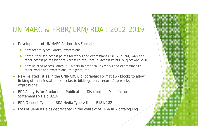## UNIMARC & FRBR/LRM/RDA : 2012-2019

- Development of UNIMARC Authorities Format:
	- $\blacktriangleright$  New record types: works, expressions
	- New authorised access points for works and expressions (231, 232, 241, 242) and other access points (Variant Access Points, Parallel Access Points, Subject Analysis)
	- ▶ New Related Access Points (5-- block) in order to link works and expressions to other works and expressions, to agents, etc.
- New Related Titles in the UNIMARC Bibliographic Format (5-– block) to allow linking of manifestations (or classic bibliographic records) to works and expressions
- RDA Analysis for Production, Publication, Distribution, Manufacture Statements > field B214
- RDA Content Type and RDA Media Type > fields B181/182
- Lots of UNM/B fields deprecated in the context of LRM/RDA cataloguing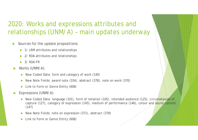## 2020: Works and expressions attributes and relationships (UNM/A) – main updates underway

- Sources for the update propositions:
	- ▶ 1/ LRM attributes and relationships
	- 2/ RDA attributes and relationships
	- 3/ RDA-FR
- Works (UNM/A):
	- New Coded Data: form and category of work (140)
	- New Note Fields: award note (334), abstract (378), note on work (370)
	- Link to Form or Genre Entity (608)
- Expressions (UNM/A):
	- New Coded Data: language (101), form of notation (105), intended audience (125), circumstances of capture (127), category of expression (145), medium of performance (146), colour and sound content (147)
	- New Note Fields: note on expression (371), abstract (378)
	- Link to Form or Genre Entity (608)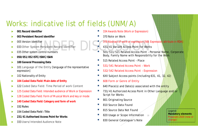## Works: indicative list of fields (UNM/A)

- **001 Record identifier**
- **003 Persistent Record identifier**
- 005 Version identifier
- ▶ 033 Other System Persistent Record Identifier
- 035 Other system control numbers
- **050/051/052 ISTC/ISWC/ISAN**
- **100 General Processing Data**
- 101 Language of the Entity [language of the representative expression]
- 102 Nationality of Entity
- **104 Coded Data Field: Main date of Entity**
- 122 Coded Data Field: Time Period of work Content
- 125 Coded Data Field: Intended audience of Work or Expression
- 128 Coded Data Field: Form of Musical Work and key or mode
- **140 Coded Data Field: Category and form of work**
- **152 Rules**
- **154 Coded Data Field : Title**
- **231/41 Authorised Access Point for Works**
- 333 Users/Intended Audience Note
- 334 Awards Note (Work or Expression)
- 370 Note on Work
- 378 Abstract of work or expression [NB: Expression attribute in I
- Extern Persistent Record Identifier<br>
Em control numbers<br>
Externé d'Aldentifier<br>
Externé d'Aldentifier<br>
Externé d'Aldentifier<br>
Externé d'Aldentifier<br>
Externé d'Aldentifier<br>
Externé d'Aldentifier<br>
Externé d'Aldentifier<br>
Exte 431/41 Variant Access Point for Works
	- 501/511/521 Related Access Point Personal Name, Corporate Body, Family Name with Responsibility for the Work
	- 515 Related Access Point Place
	- 531/541 Related Access Point Work
	- 532/542 Related Access Point Expression
	- 6XX Subject Access points (including 631, 41,  $32, 42$ )
	- 608 Form or Genre of Entity
	- 640 Place(s) and Date(s) associated with the entity
	- 731/41 Authorized Access Point in Other Language and/or Script for Works

10

- 801 Originating Source
- 810 Source Data Found
- 815 Source Data Not Found
- 820 Usage or Scope Information
- 830 General Cataloguer's Note

Legend: **Mandatory elements** Proposals 2020 (new or change)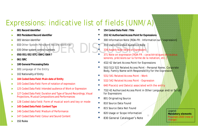## Expressions: indicative list of fields (UNM/A)

- **001 Record identifier**
- **003 Persistent Record identifier**
- 005 Version identifier
- ▶ 033 Other System Persistent Record Identifier
- ▶ 035 Other system control numbers
- **050/051/052 ISTC/ISWC/ISAN ?**
- **061 ISRC**
- **100 General Processing Data**
- 101 Language of the Entity
- 102 Nationality of Entity
- **104 Coded Data Field: Main date of Entity**
- 105 Coded Data Field: Form of notation of expression
- 125 Coded Data Field: Intended audience of Work or Expression
- 127 Coded Data Field: Duration and Type of Sound Recordings, Visual Projections, Musical Compositions and Performances
- 128 Coded data field: Form of musical work and key or mode
- **145 Coded Data Field: Content Type**
- 146 Coded Data Field: Medium of Performance
- 147 Coded Data Field: Colour and Sound Content
- **152 Rules**
- **154 Coded Data Field : Title**
- **232/42 AuthorisedAccess Point for Expressions**
- 300 Information Note [RDA-FR : Information sur l'expression]
- 333 Users/Intended Audience Note
- EM Persistent Record Identifier<br>
Montrol numbers<br>
TC/ISWC/ISAN ?<br>
TC/ISWC/ISAN ?<br>
TC/ISWC/ISAN ?<br>
TC/ISWC/ISAN ? <sup>334</sup>Awards Note (Work or Expression)
	- 371 Note on expression [RDA-FR : caractéristiques de couleur sonores, précisions sur la forme de la notation, etc.]
	- 432/42 Variant Access Point for Expressions
	- 502/512/522 Related Access Point Personal Name, Corporate Body, Family Name with Responsibility for the Expression
	- 531/541 Related Access Point Work
	- 532/542 Related Access Point Expression
	- 640 Place(s) and Date(s) associated with the entity
	- 732/42 Authorized Access Point in Other Language and/or Script for Expressions

11

- 801 Originating Source
- 810 Source Data Found
- 815 Source Data Not Found
- 820 Usage or Scope Information
- 830 General Cataloguer's Note

Legend: **Mandatory elements** Proposals 2020 (new or change)